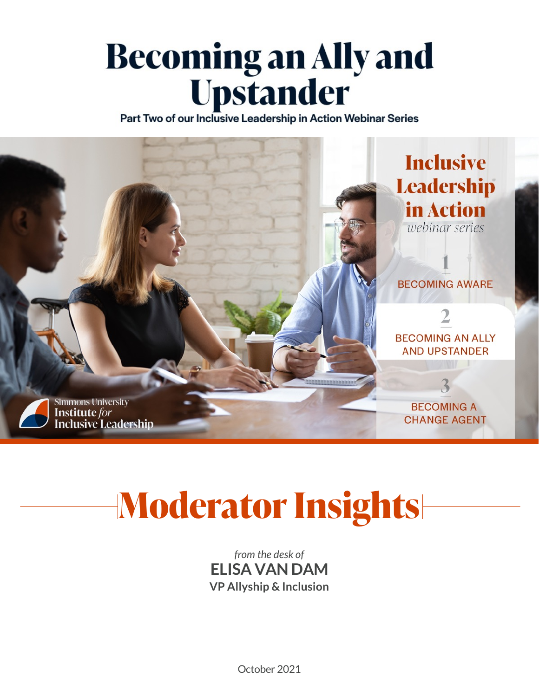# Becoming an Ally and<br>Upstander

Part Two of our Inclusive Leadership in Action Webinar Series



# **Moderator Insights**

*from the desk of* **ELISA VAN DAM VP Allyship & Inclusion**

October 2021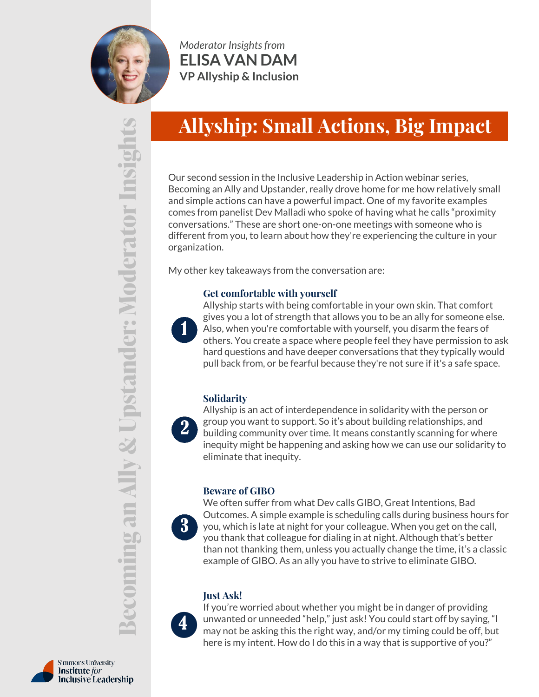

*Moderator Insights from* **ELISA VAN DAM VP Allyship & Inclusion**

# **Allyship: Small Actions, Big Impact**

Our second session in the Inclusive Leadership in Action webinar series, Becoming an Ally and Upstander, really drove home for me how relatively small and simple actions can have a powerful impact. One of my favorite examples comes from panelist Dev Malladi who spoke of having what he calls "proximity conversations." These are short one-on-one meetings with someone who is different from you, to learn about how they're experiencing the culture in your organization.

My other key takeaways from the conversation are:

### **Get comfortable with yourself**



Allyship starts with being comfortable in your own skin. That comfort gives you a lot of strength that allows you to be an ally for someone else. Also, when you're comfortable with yourself, you disarm the fears of others. You create a space where people feel they have permission to ask hard questions and have deeper conversations that they typically would pull back from, or be fearful because they're not sure if it's a safe space.

### **Solidarity**

Allyship is an act of interdependence in solidarity with the person or group you want to support. So it's about building relationships, and building community over time. It means constantly scanning for where inequity might be happening and asking how we can use our solidarity to eliminate that inequity.

### **Beware of GIBO**

We often suffer from what Dev calls GIBO, Great Intentions, Bad Outcomes. A simple example is scheduling calls during business hours for you, which is late at night for your colleague. When you get on the call, you thank that colleague for dialing in at night. Although that's better than not thanking them, unless you actually change the time, it's a classic example of GIBO. As an ally you have to strive to eliminate GIBO.

### **Just Ask!**



 $\mathbf{R}$ 

If you're worried about whether you might be in danger of providing unwanted or unneeded "help," just ask! You could start off by saying, "I may not be asking this the right way, and/or my timing could be off, but here is my intent. How do I do this in a way that is supportive of you?"

**Becoming an Ally & Upstander: Moderator Insights**Insig derator ◡ التسب  $\geq$ ng an Ally & Upstander: junio

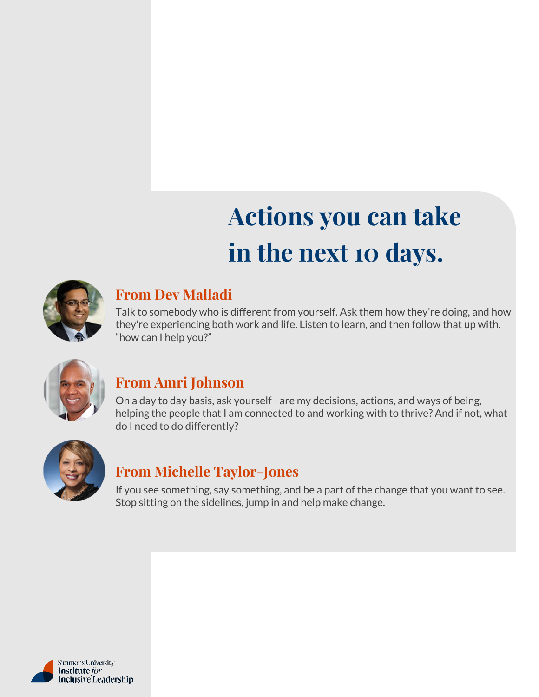# **Actions you can take in the next 10 days.**



### **From Dev Malladi**

Talk to somebody who is different from yourself. Ask them how they're doing, and how they're experiencing both work and life. Listen to learn, and then follow that up with, "how can I help you?"



### **From Amri Johnson**

On a day to day basis, ask yourself - are my decisions, actions, and ways of being, helping the people that I am connected to and working with to thrive? And if not, what do I need to do differently?



### **From Michelle Taylor-Jones**

If you see something, say something, and be a part of the change that you want to see. Stop sitting on the sidelines, jump in and help make change.